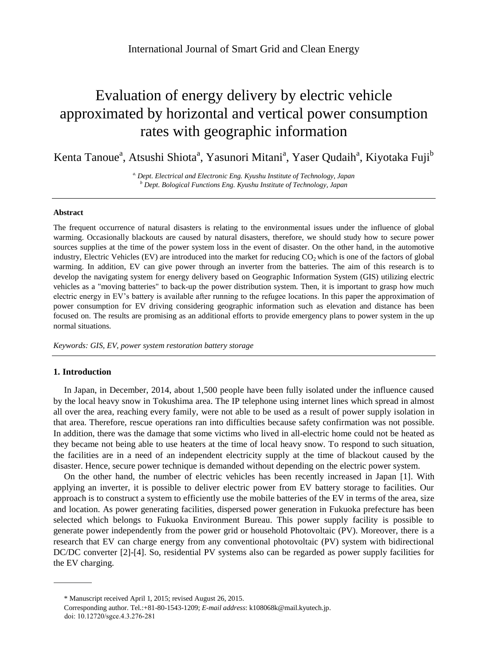# Evaluation of energy delivery by electric vehicle approximated by horizontal and vertical power consumption rates with geographic information

Kenta Tanoue<sup>a</sup>, Atsushi Shiota<sup>a</sup>, Yasunori Mitani<sup>a</sup>, Yaser Qudaih<sup>a</sup>, Kiyotaka Fuji<sup>b</sup>

*a. Dept. Electrical and Electronic Eng. Kyushu Institute of Technology, Japan <sup>b</sup> Dept. Bological Functions Eng. Kyushu Institute of Technology, Japan*

## **Abstract**

The frequent occurrence of natural disasters is relating to the environmental issues under the influence of global warming. Occasionally blackouts are caused by natural disasters, therefore, we should study how to secure power sources supplies at the time of the power system loss in the event of disaster. On the other hand, in the automotive industry, Electric Vehicles (EV) are introduced into the market for reducing  $CO<sub>2</sub>$  which is one of the factors of global warming. In addition, EV can give power through an inverter from the batteries. The aim of this research is to develop the navigating system for energy delivery based on Geographic Information System (GIS) utilizing electric vehicles as a "moving batteries" to back-up the power distribution system. Then, it is important to grasp how much electric energy in EV's battery is available after running to the refugee locations. In this paper the approximation of power consumption for EV driving considering geographic information such as elevation and distance has been focused on. The results are promising as an additional efforts to provide emergency plans to power system in the up normal situations.

*Keywords: GIS, EV, power system restoration battery storage*

#### **1. Introduction**

In Japan, in December, 2014, about 1,500 people have been fully isolated under the influence caused by the local heavy snow in Tokushima area. The IP telephone using internet lines which spread in almost all over the area, reaching every family, were not able to be used as a result of power supply isolation in that area. Therefore, rescue operations ran into difficulties because safety confirmation was not possible. In addition, there was the damage that some victims who lived in all-electric home could not be heated as they became not being able to use heaters at the time of local heavy snow. To respond to such situation, the facilities are in a need of an independent electricity supply at the time of blackout caused by the disaster. Hence, secure power technique is demanded without depending on the electric power system.

On the other hand, the number of electric vehicles has been recently increased in Japan [1]. With applying an inverter, it is possible to deliver electric power from EV battery storage to facilities. Our approach is to construct a system to efficiently use the mobile batteries of the EV in terms of the area, size and location. As power generating facilities, dispersed power generation in Fukuoka prefecture has been selected which belongs to Fukuoka Environment Bureau. This power supply facility is possible to generate power independently from the power grid or household Photovoltaic (PV). Moreover, there is a research that EV can charge energy from any conventional photovoltaic (PV) system with bidirectional DC/DC converter [2]-[4]. So, residential PV systems also can be regarded as power supply facilities for the EV charging.

<sup>\*</sup> Manuscript received April 1, 2015; revised August 26, 2015.

Corresponding author. Tel.:+81-80-1543-1209; *E-mail address*: k108068k@mail.kyutech.jp. doi: 10.12720/sgce.4.3.276-281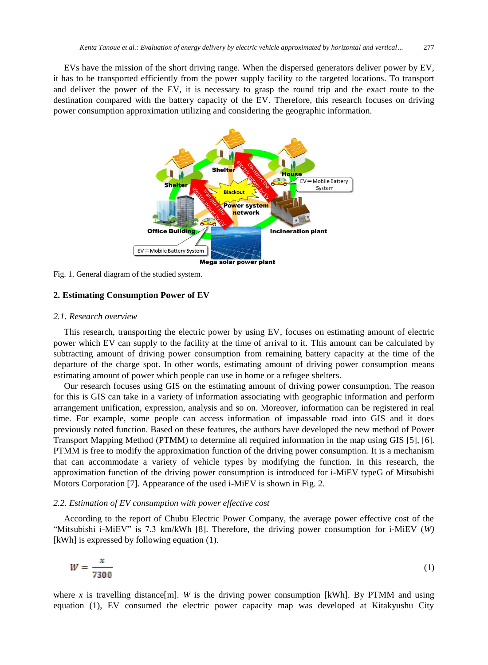EVs have the mission of the short driving range. When the dispersed generators deliver power by EV, it has to be transported efficiently from the power supply facility to the targeted locations. To transport and deliver the power of the EV, it is necessary to grasp the round trip and the exact route to the destination compared with the battery capacity of the EV. Therefore, this research focuses on driving power consumption approximation utilizing and considering the geographic information.



Fig. 1. General diagram of the studied system.

# **2. Estimating Consumption Power of EV**

# *2.1. Research overview*

This research, transporting the electric power by using EV, focuses on estimating amount of electric power which EV can supply to the facility at the time of arrival to it. This amount can be calculated by subtracting amount of driving power consumption from remaining battery capacity at the time of the departure of the charge spot. In other words, estimating amount of driving power consumption means estimating amount of power which people can use in home or a refugee shelters.

Our research focuses using GIS on the estimating amount of driving power consumption. The reason for this is GIS can take in a variety of information associating with geographic information and perform arrangement unification, expression, analysis and so on. Moreover, information can be registered in real time. For example, some people can access information of impassable road into GIS and it does previously noted function. Based on these features, the authors have developed the new method of Power Transport Mapping Method (PTMM) to determine all required information in the map using GIS [5], [6]. PTMM is free to modify the approximation function of the driving power consumption. It is a mechanism that can accommodate a variety of vehicle types by modifying the function. In this research, the approximation function of the driving power consumption is introduced for i-MiEV typeG of Mitsubishi Motors Corporation [7]. Appearance of the used i-MiEV is shown in Fig. 2.

### *2.2. Estimation of EV consumption with power effective cost*

According to the report of Chubu Electric Power Company, the average power effective cost of the "Mitsubishi i-MiEV" is 7.3 km/kWh [8]. Therefore, the driving power consumption for i-MiEV (*W)* [kWh] is expressed by following equation (1).

$$
W = \frac{x}{7300}
$$

where x is travelling distance [m]. W is the driving power consumption [kWh]. By PTMM and using equation (1), EV consumed the electric power capacity map was developed at Kitakyushu City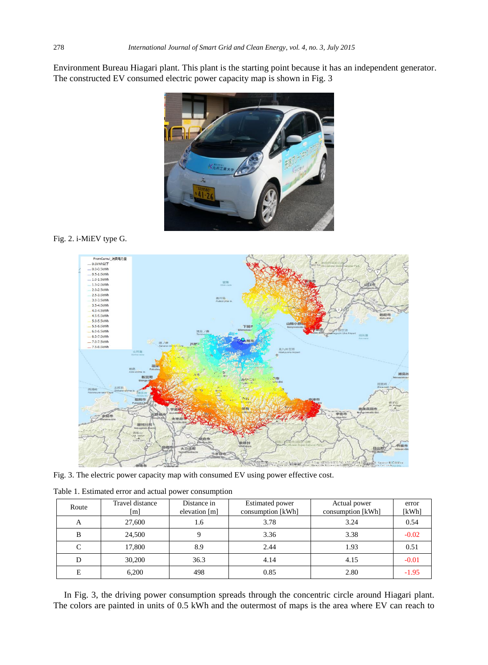Environment Bureau Hiagari plant. This plant is the starting point because it has an independent generator. The constructed EV consumed electric power capacity map is shown in Fig. 3



# Fig. 2. i-MiEV type G.



Fig. 3. The electric power capacity map with consumed EV using power effective cost.

| Route | Travel distance<br>[m] | Distance in<br>elevation [m] | <b>Estimated power</b><br>consumption [kWh] | Actual power<br>consumption [kWh] | error<br>[kWh] |
|-------|------------------------|------------------------------|---------------------------------------------|-----------------------------------|----------------|
| A     | 27,600                 | 1.6                          | 3.78                                        | 3.24                              | 0.54           |
| B     | 24,500                 | Q                            | 3.36                                        | 3.38                              | $-0.02$        |
| C     | 17,800                 | 8.9                          | 2.44                                        | 1.93                              | 0.51           |
| D     | 30,200                 | 36.3                         | 4.14                                        | 4.15                              | $-0.01$        |
| E     | 6,200                  | 498                          | 0.85                                        | 2.80                              | $-1.95$        |

Table 1. Estimated error and actual power consumption

In Fig. 3, the driving power consumption spreads through the concentric circle around Hiagari plant. The colors are painted in units of 0.5 kWh and the outermost of maps is the area where EV can reach to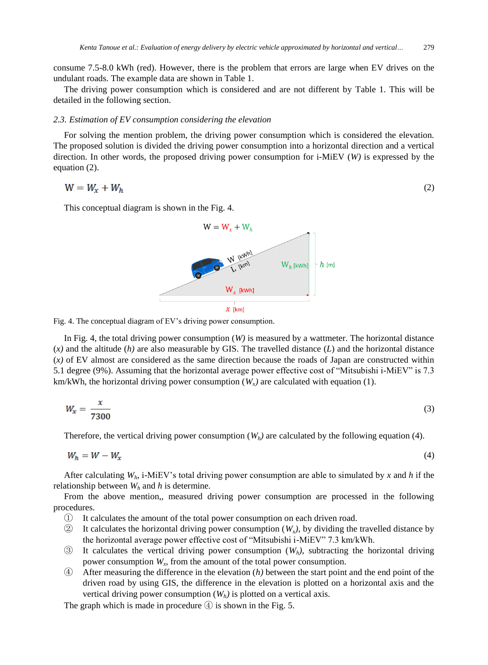consume 7.5-8.0 kWh (red). However, there is the problem that errors are large when EV drives on the undulant roads. The example data are shown in Table 1.

The driving power consumption which is considered and are not different by Table 1. This will be detailed in the following section.

## *2.3. Estimation of EV consumption considering the elevation*

For solving the mention problem, the driving power consumption which is considered the elevation. The proposed solution is divided the driving power consumption into a horizontal direction and a vertical direction. In other words, the proposed driving power consumption for i-MiEV (*W)* is expressed by the equation (2).

$$
W = W_x + W_h \tag{2}
$$

This conceptual diagram is shown in the Fig. 4.



Fig. 4. The conceptual diagram of EV's driving power consumption.

In Fig. 4, the total driving power consumption (*W)* is measured by a wattmeter. The horizontal distance  $(x)$  and the altitude  $(h)$  are also measurable by GIS. The travelled distance  $(L)$  and the horizontal distance  $(x)$  of EV almost are considered as the same direction because the roads of Japan are constructed within 5.1 degree (9%). Assuming that the horizontal average power effective cost of "Mitsubishi i-MiEV" is 7.3 km/kWh, the horizontal driving power consumption  $(W_x)$  are calculated with equation (1).

$$
W_x = \frac{x}{7300} \tag{3}
$$

Therefore, the vertical driving power consumption  $(W_h)$  are calculated by the following equation (4).

$$
W_h = W - W_x \tag{4}
$$

After calculating *Wh*, i-MiEV's total driving power consumption are able to simulated by *x* and *h* if the relationship between  $W_h$  and  $h$  is determine.

From the above mention,, measured driving power consumption are processed in the following procedures.

- ① It calculates the amount of the total power consumption on each driven road.
- $\circled{2}$  It calculates the horizontal driving power consumption (*W<sub>x</sub>*), by dividing the travelled distance by the horizontal average power effective cost of "Mitsubishi i-MiEV" 7.3 km/kWh.
- ③ It calculates the vertical driving power consumption (*Wh)*, subtracting the horizontal driving power consumption *W<sup>x</sup>* , from the amount of the total power consumption.
- ④ After measuring the difference in the elevation (*h)* between the start point and the end point of the driven road by using GIS, the difference in the elevation is plotted on a horizontal axis and the vertical driving power consumption  $(W_h)$  is plotted on a vertical axis.

The graph which is made in procedure  $\textcircled{4}$  is shown in the Fig. 5.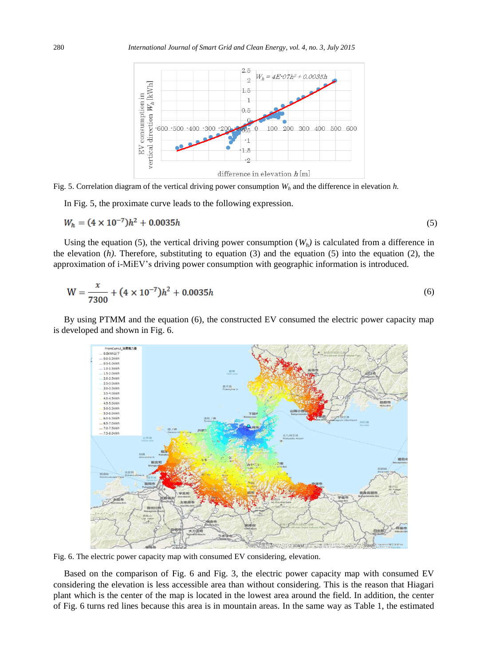

Fig. 5. Correlation diagram of the vertical driving power consumption *W<sup>h</sup>* and the difference in elevation *h.*

In Fig. 5, the proximate curve leads to the following expression.

$$
W_h = (4 \times 10^{-7})h^2 + 0.0035h
$$
\n<sup>(5)</sup>

Using the equation (5), the vertical driving power consumption  $(W_h)$  is calculated from a difference in the elevation  $(h)$ . Therefore, substituting to equation  $(3)$  and the equation  $(5)$  into the equation  $(2)$ , the approximation of i-MiEV's driving power consumption with geographic information is introduced.

$$
W = \frac{x}{7300} + (4 \times 10^{-7})h^2 + 0.0035h
$$
 (6)

By using PTMM and the equation (6), the constructed EV consumed the electric power capacity map is developed and shown in Fig. 6.



Fig. 6. The electric power capacity map with consumed EV considering, elevation.

Based on the comparison of Fig. 6 and Fig. 3, the electric power capacity map with consumed EV considering the elevation is less accessible area than without considering. This is the reason that Hiagari plant which is the center of the map is located in the lowest area around the field. In addition, the center of Fig. 6 turns red lines because this area is in mountain areas. In the same way as Table 1, the estimated